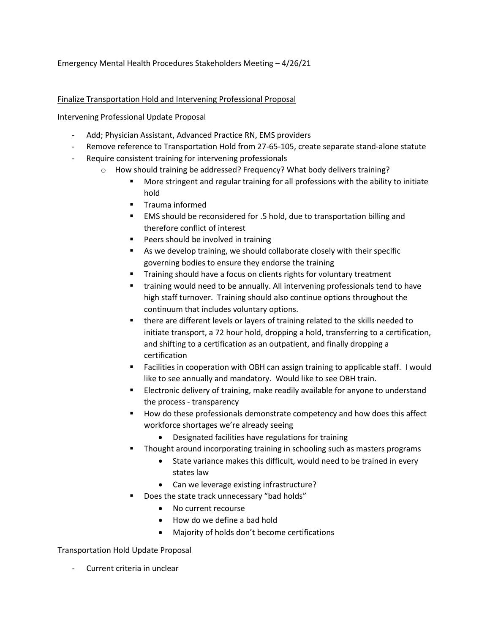## Emergency Mental Health Procedures Stakeholders Meeting – 4/26/21

## Finalize Transportation Hold and Intervening Professional Proposal

Intervening Professional Update Proposal

- Add; Physician Assistant, Advanced Practice RN, EMS providers
- Remove reference to Transportation Hold from 27-65-105, create separate stand-alone statute
- Require consistent training for intervening professionals
	- o How should training be addressed? Frequency? What body delivers training?
		- More stringent and regular training for all professions with the ability to initiate hold
		- $\blacksquare$  Trauma informed
		- EMS should be reconsidered for .5 hold, due to transportation billing and therefore conflict of interest
		- **Peers should be involved in training**
		- As we develop training, we should collaborate closely with their specific governing bodies to ensure they endorse the training
		- Training should have a focus on clients rights for voluntary treatment
		- training would need to be annually. All intervening professionals tend to have high staff turnover. Training should also continue options throughout the continuum that includes voluntary options.
		- there are different levels or layers of training related to the skills needed to initiate transport, a 72 hour hold, dropping a hold, transferring to a certification, and shifting to a certification as an outpatient, and finally dropping a certification
		- Facilities in cooperation with OBH can assign training to applicable staff. I would like to see annually and mandatory. Would like to see OBH train.
		- Electronic delivery of training, make readily available for anyone to understand the process - transparency
		- How do these professionals demonstrate competency and how does this affect workforce shortages we're already seeing
			- Designated facilities have regulations for training
		- Thought around incorporating training in schooling such as masters programs
			- State variance makes this difficult, would need to be trained in every states law
			- Can we leverage existing infrastructure?
		- Does the state track unnecessary "bad holds"
			- No current recourse
			- How do we define a bad hold
			- Majority of holds don't become certifications

## Transportation Hold Update Proposal

- Current criteria in unclear